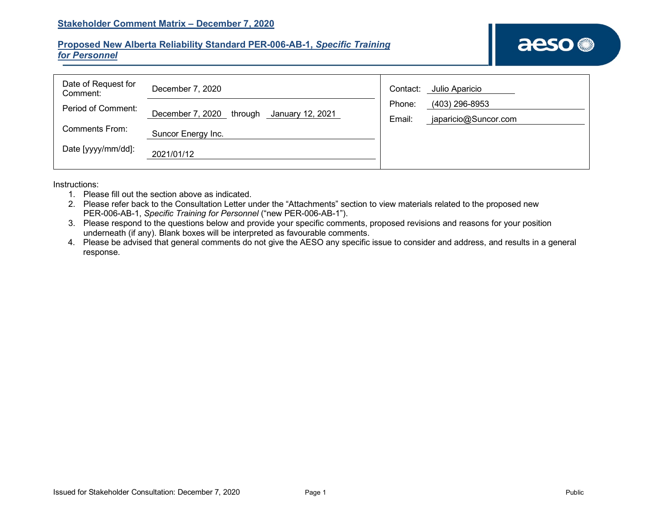## **Proposed New Alberta Reliability Standard PER-006-AB-1,** *Specific Training for Personnel*

| Date of Request for<br>Comment: | December 7, 2020                             | Julio Aparicio<br>Contact:     |  |
|---------------------------------|----------------------------------------------|--------------------------------|--|
| Period of Comment:              |                                              | (403) 296-8953<br>Phone:       |  |
|                                 | December 7, 2020 through<br>January 12, 2021 | japaricio@Suncor.com<br>Email: |  |
| Comments From:                  | Suncor Energy Inc.                           |                                |  |
| Date [yyyy/mm/dd]:              | 2021/01/12                                   |                                |  |

Instructions:

- 1. Please fill out the section above as indicated.
- 2. Please refer back to the Consultation Letter under the "Attachments" section to view materials related to the proposed new PER-006-AB-1, *Specific Training for Personnel* ("new PER-006-AB-1").
- 3. Please respond to the questions below and provide your specific comments, proposed revisions and reasons for your position underneath (if any). Blank boxes will be interpreted as favourable comments.
- 4. Please be advised that general comments do not give the AESO any specific issue to consider and address, and results in a general response.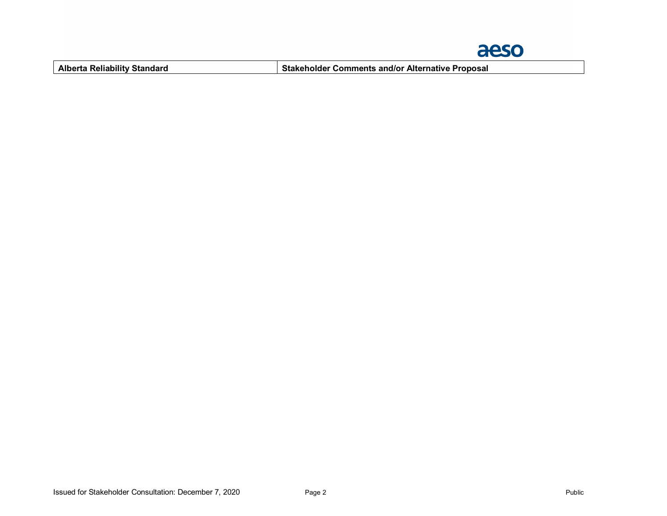

**Alberta Reliability Standard Stakeholder Comments and/or Alternative Proposal**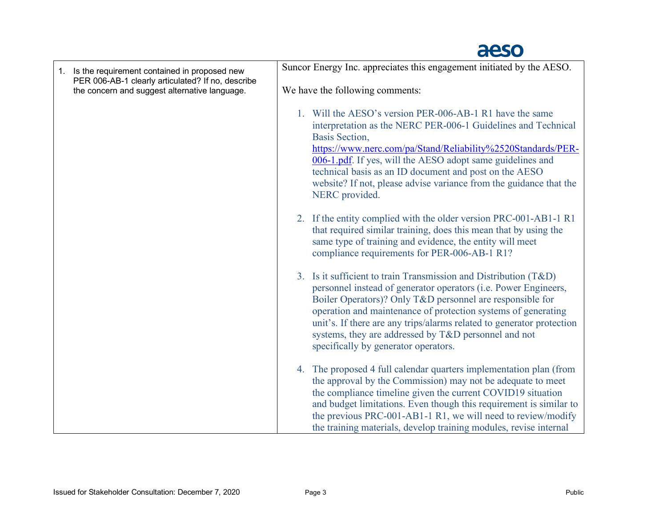## aeso

| 1. Is the requirement contained in proposed new                                                    | Suncor Energy Inc. appreciates this engagement initiated by the AESO.                                                                                                                                                                                                                                                                                                                                                                      |  |  |
|----------------------------------------------------------------------------------------------------|--------------------------------------------------------------------------------------------------------------------------------------------------------------------------------------------------------------------------------------------------------------------------------------------------------------------------------------------------------------------------------------------------------------------------------------------|--|--|
| PER 006-AB-1 clearly articulated? If no, describe<br>the concern and suggest alternative language. | We have the following comments:                                                                                                                                                                                                                                                                                                                                                                                                            |  |  |
|                                                                                                    | 1. Will the AESO's version PER-006-AB-1 R1 have the same<br>interpretation as the NERC PER-006-1 Guidelines and Technical<br>Basis Section,<br>https://www.nerc.com/pa/Stand/Reliability%2520Standards/PER-<br>006-1.pdf. If yes, will the AESO adopt same guidelines and<br>technical basis as an ID document and post on the AESO<br>website? If not, please advise variance from the guidance that the<br>NERC provided.                |  |  |
|                                                                                                    | 2. If the entity complied with the older version PRC-001-AB1-1 R1<br>that required similar training, does this mean that by using the<br>same type of training and evidence, the entity will meet<br>compliance requirements for PER-006-AB-1 R1?                                                                                                                                                                                          |  |  |
|                                                                                                    | 3. Is it sufficient to train Transmission and Distribution (T&D)<br>personnel instead of generator operators (i.e. Power Engineers,<br>Boiler Operators)? Only T&D personnel are responsible for<br>operation and maintenance of protection systems of generating<br>unit's. If there are any trips/alarms related to generator protection<br>systems, they are addressed by T&D personnel and not<br>specifically by generator operators. |  |  |
|                                                                                                    | 4. The proposed 4 full calendar quarters implementation plan (from<br>the approval by the Commission) may not be adequate to meet<br>the compliance timeline given the current COVID19 situation<br>and budget limitations. Even though this requirement is similar to<br>the previous PRC-001-AB1-1 R1, we will need to review/modify<br>the training materials, develop training modules, revise internal                                |  |  |